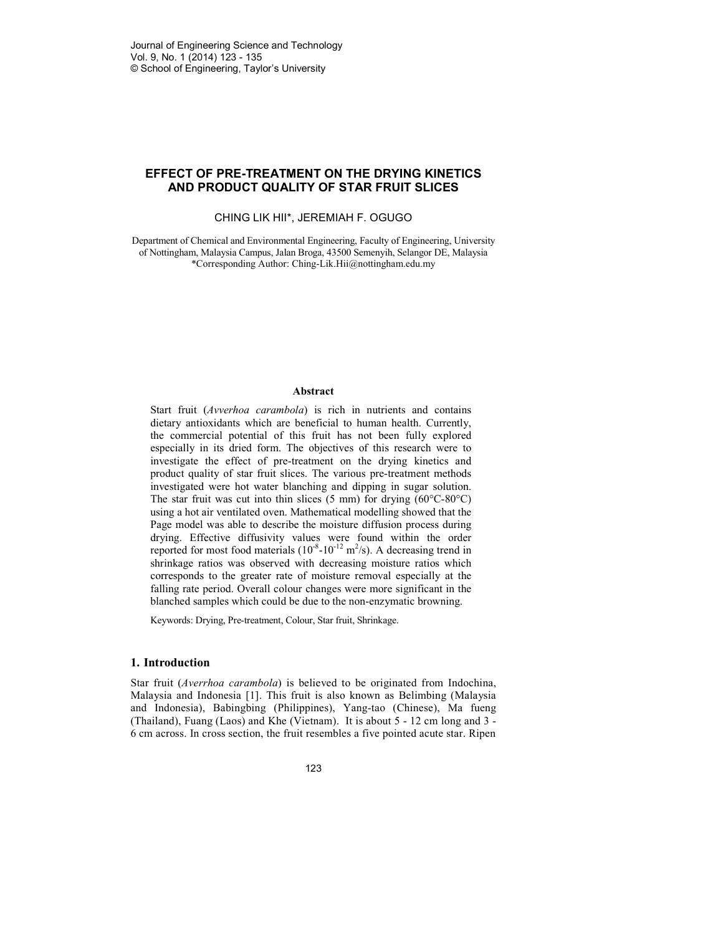# **EFFECT OF PRE-TREATMENT ON THE DRYING KINETICS AND PRODUCT QUALITY OF STAR FRUIT SLICES**

#### CHING LIK HII\*, JEREMIAH F. OGUGO

Department of Chemical and Environmental Engineering, Faculty of Engineering, University of Nottingham, Malaysia Campus, Jalan Broga, 43500 Semenyih, Selangor DE, Malaysia \*Corresponding Author: Ching-Lik.Hii@nottingham.edu.my

### **Abstract**

Start fruit (*Avverhoa carambola*) is rich in nutrients and contains dietary antioxidants which are beneficial to human health. Currently, the commercial potential of this fruit has not been fully explored especially in its dried form. The objectives of this research were to investigate the effect of pre-treatment on the drying kinetics and product quality of star fruit slices. The various pre-treatment methods investigated were hot water blanching and dipping in sugar solution. The star fruit was cut into thin slices  $(5 \text{ mm})$  for drying  $(60^{\circ} \text{C} \cdot 80^{\circ} \text{C})$ using a hot air ventilated oven. Mathematical modelling showed that the Page model was able to describe the moisture diffusion process during drying. Effective diffusivity values were found within the order reported for most food materials  $(10^{-8}-10^{-12} \text{ m}^2/\text{s})$ . A decreasing trend in shrinkage ratios was observed with decreasing moisture ratios which corresponds to the greater rate of moisture removal especially at the falling rate period. Overall colour changes were more significant in the blanched samples which could be due to the non-enzymatic browning.

Keywords: Drying, Pre-treatment, Colour, Star fruit, Shrinkage.

### **1. Introduction**

Star fruit (*Averrhoa carambola*) is believed to be originated from Indochina, Malaysia and Indonesia [1]. This fruit is also known as Belimbing (Malaysia and Indonesia), Babingbing (Philippines), Yang-tao (Chinese), Ma fueng (Thailand), Fuang (Laos) and Khe (Vietnam). It is about 5 - 12 cm long and 3 - 6 cm across. In cross section, the fruit resembles a five pointed acute star. Ripen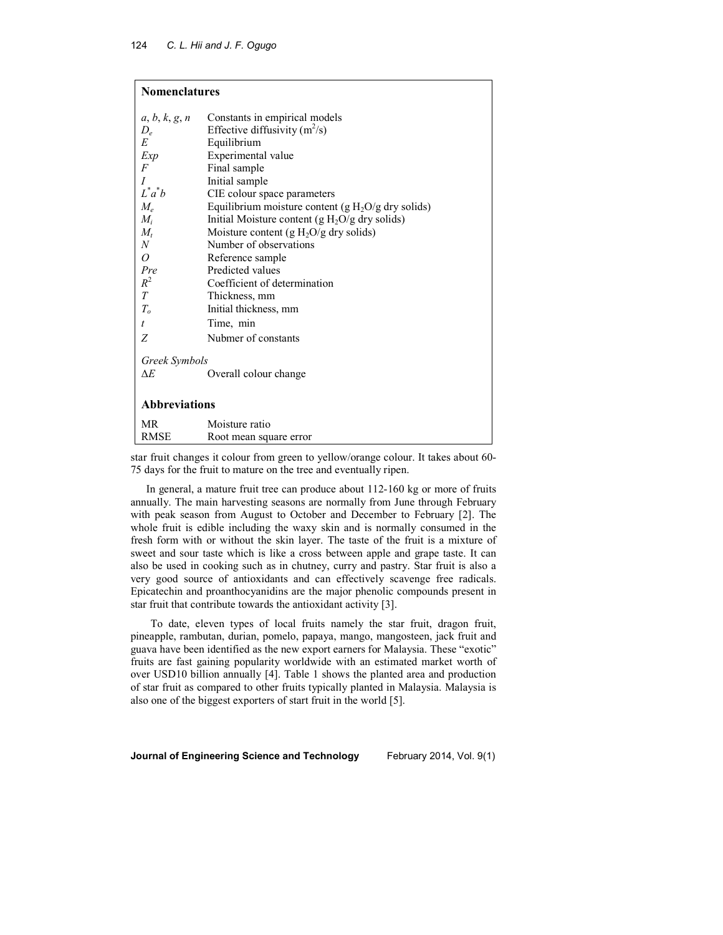| <b>Nomenclatures</b> |                                                      |  |  |  |
|----------------------|------------------------------------------------------|--|--|--|
| a, b, k, g, n        | Constants in empirical models                        |  |  |  |
| $D_{\rho}$           | Effective diffusivity $(m^2/s)$                      |  |  |  |
| E                    | Equilibrium                                          |  |  |  |
| Exp                  | Experimental value                                   |  |  |  |
| F                    | Final sample                                         |  |  |  |
| $\overline{I}$       | Initial sample                                       |  |  |  |
| $L^*a^*b$            | CIE colour space parameters                          |  |  |  |
| $M_e$                | Equilibrium moisture content (g $H_2O/g$ dry solids) |  |  |  |
| $M_i$                | Initial Moisture content ( $g H2O/g$ dry solids)     |  |  |  |
| $M_t$                | Moisture content (g $H_2O/g$ dry solids)             |  |  |  |
| $\boldsymbol{N}$     | Number of observations                               |  |  |  |
| 0                    | Reference sample                                     |  |  |  |
| Pre                  | Predicted values                                     |  |  |  |
| $R^2$                | Coefficient of determination                         |  |  |  |
| T                    | Thickness, mm                                        |  |  |  |
| T <sub>o</sub>       | Initial thickness, mm                                |  |  |  |
| $\boldsymbol{t}$     | Time, min                                            |  |  |  |
| Ζ                    | Nubmer of constants                                  |  |  |  |
| Greek Symbols<br>ΔE  | Overall colour change                                |  |  |  |
| <b>Abbreviations</b> |                                                      |  |  |  |
| <b>MR</b>            | Moisture ratio                                       |  |  |  |
| <b>RMSE</b>          | Root mean square error                               |  |  |  |

star fruit changes it colour from green to yellow/orange colour. It takes about 60- 75 days for the fruit to mature on the tree and eventually ripen.

In general, a mature fruit tree can produce about 112-160 kg or more of fruits annually. The main harvesting seasons are normally from June through February with peak season from August to October and December to February [2]. The whole fruit is edible including the waxy skin and is normally consumed in the fresh form with or without the skin layer. The taste of the fruit is a mixture of sweet and sour taste which is like a cross between apple and grape taste. It can also be used in cooking such as in chutney, curry and pastry. Star fruit is also a very good source of antioxidants and can effectively scavenge free radicals. Epicatechin and proanthocyanidins are the major phenolic compounds present in star fruit that contribute towards the antioxidant activity [3].

To date, eleven types of local fruits namely the star fruit, dragon fruit, pineapple, rambutan, durian, pomelo, papaya, mango, mangosteen, jack fruit and guava have been identified as the new export earners for Malaysia. These "exotic" fruits are fast gaining popularity worldwide with an estimated market worth of over USD10 billion annually [4]. Table 1 shows the planted area and production of star fruit as compared to other fruits typically planted in Malaysia. Malaysia is also one of the biggest exporters of start fruit in the world [5].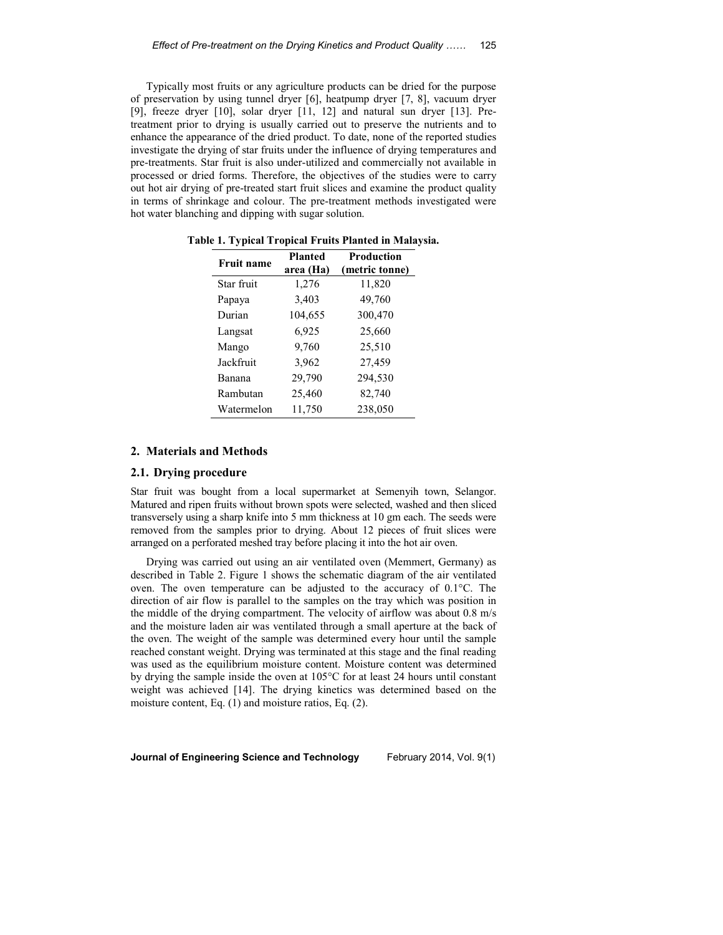Typically most fruits or any agriculture products can be dried for the purpose of preservation by using tunnel dryer [6], heatpump dryer [7, 8], vacuum dryer [9], freeze dryer [10], solar dryer [11, 12] and natural sun dryer [13]. Pretreatment prior to drying is usually carried out to preserve the nutrients and to enhance the appearance of the dried product. To date, none of the reported studies investigate the drying of star fruits under the influence of drying temperatures and pre-treatments. Star fruit is also under-utilized and commercially not available in processed or dried forms. Therefore, the objectives of the studies were to carry out hot air drying of pre-treated start fruit slices and examine the product quality in terms of shrinkage and colour. The pre-treatment methods investigated were hot water blanching and dipping with sugar solution.

| <b>Fruit name</b> | <b>Planted</b><br>area (Ha) | <b>Production</b><br>(metric tonne) |
|-------------------|-----------------------------|-------------------------------------|
| Star fruit        | 1,276                       | 11,820                              |
| Papaya            | 3,403                       | 49,760                              |
| Durian            | 104,655                     | 300,470                             |
| Langsat           | 6,925                       | 25,660                              |
| Mango             | 9,760                       | 25,510                              |
| Jackfruit         | 3,962                       | 27,459                              |
| Banana            | 29,790                      | 294,530                             |
| Rambutan          | 25,460                      | 82,740                              |
| Watermelon        | 11,750                      | 238,050                             |

**Table 1. Typical Tropical Fruits Planted in Malaysia.** 

#### **2. Materials and Methods**

### **2.1. Drying procedure**

Star fruit was bought from a local supermarket at Semenyih town, Selangor. Matured and ripen fruits without brown spots were selected, washed and then sliced transversely using a sharp knife into 5 mm thickness at 10 gm each. The seeds were removed from the samples prior to drying. About 12 pieces of fruit slices were arranged on a perforated meshed tray before placing it into the hot air oven.

Drying was carried out using an air ventilated oven (Memmert, Germany) as described in Table 2. Figure 1 shows the schematic diagram of the air ventilated oven. The oven temperature can be adjusted to the accuracy of 0.1°C. The direction of air flow is parallel to the samples on the tray which was position in the middle of the drying compartment. The velocity of airflow was about 0.8 m/s and the moisture laden air was ventilated through a small aperture at the back of the oven. The weight of the sample was determined every hour until the sample reached constant weight. Drying was terminated at this stage and the final reading was used as the equilibrium moisture content. Moisture content was determined by drying the sample inside the oven at 105°C for at least 24 hours until constant weight was achieved [14]. The drying kinetics was determined based on the moisture content, Eq. (1) and moisture ratios, Eq. (2).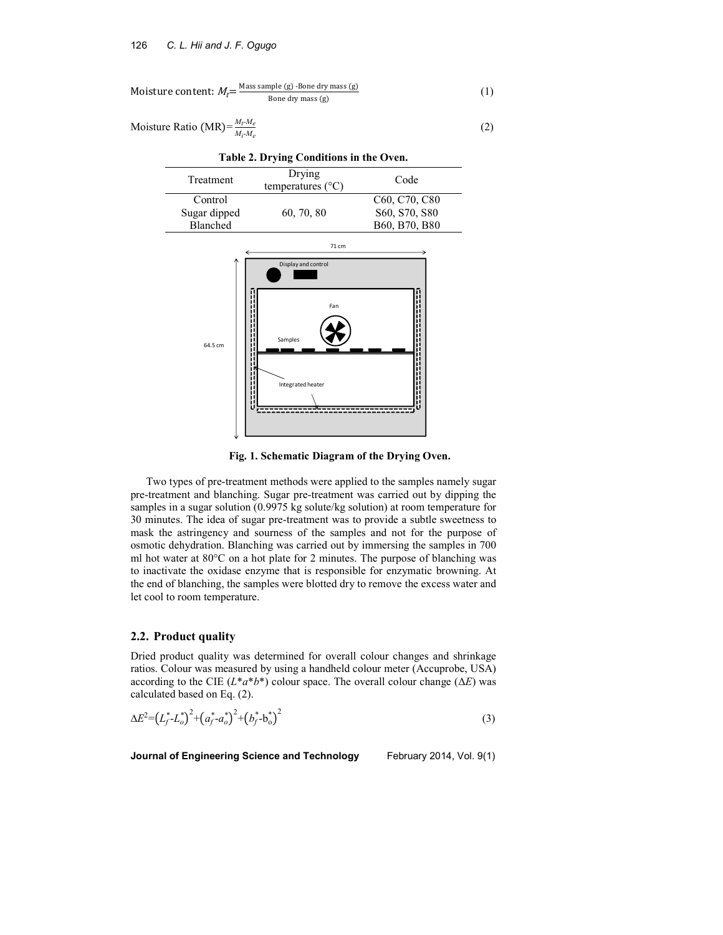Moisture content: 
$$
M_f = \frac{\text{Mass sample (g)} - \text{Bone dry mass (g)}}{\text{Bone dry mass (g)}}
$$
 (1)

$$
Moisture Ratio (MR) = \frac{M_r M_e}{M_r M_e}
$$
 (2)

| Table 2. Drying Conditions in the Oven. |                                      |                                                     |  |  |
|-----------------------------------------|--------------------------------------|-----------------------------------------------------|--|--|
| Treatment                               | Drying<br>temperatures $(^{\circ}C)$ | Code                                                |  |  |
| Control                                 |                                      | C <sub>60</sub> , C <sub>70</sub> , C <sub>80</sub> |  |  |
| Sugar dipped                            | 60, 70, 80                           | S60, S70, S80                                       |  |  |
| Blanched                                |                                      | B60, B70, B80                                       |  |  |



 **Fig. 1. Schematic Diagram of the Drying Oven.** 

Two types of pre-treatment methods were applied to the samples namely sugar pre-treatment and blanching. Sugar pre-treatment was carried out by dipping the samples in a sugar solution (0.9975 kg solute/kg solution) at room temperature for 30 minutes. The idea of sugar pre-treatment was to provide a subtle sweetness to mask the astringency and sourness of the samples and not for the purpose of osmotic dehydration. Blanching was carried out by immersing the samples in 700 ml hot water at 80°C on a hot plate for 2 minutes. The purpose of blanching was to inactivate the oxidase enzyme that is responsible for enzymatic browning. At the end of blanching, the samples were blotted dry to remove the excess water and let cool to room temperature.

# **2.2. Product quality**

Dried product quality was determined for overall colour changes and shrinkage ratios. Colour was measured by using a handheld colour meter (Accuprobe, USA) according to the CIE  $(L^*a^*b^*)$  colour space. The overall colour change  $(\Delta E)$  was calculated based on Eq. (2).

$$
\Delta E^2 = (L_f^* - L_o^*)^2 + (a_f^* - a_o^*)^2 + (b_f^* - b_o^*)^2 \tag{3}
$$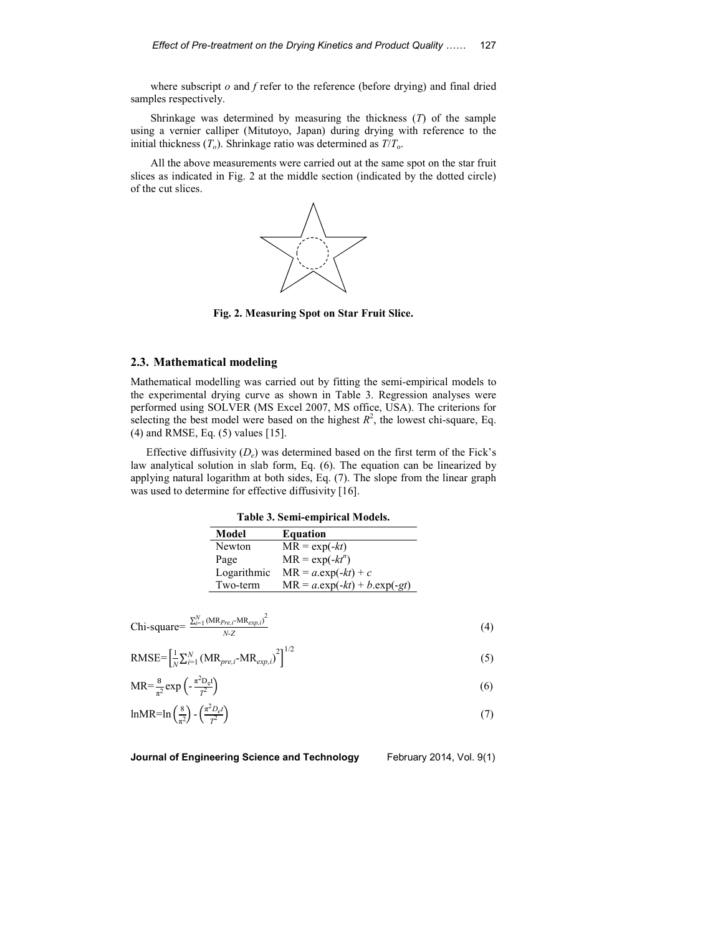where subscript *o* and *f* refer to the reference (before drying) and final dried samples respectively.

Shrinkage was determined by measuring the thickness (*T*) of the sample using a vernier calliper (Mitutoyo, Japan) during drying with reference to the initial thickness  $(T_o)$ . Shrinkage ratio was determined as  $T/T_o$ .

All the above measurements were carried out at the same spot on the star fruit slices as indicated in Fig. 2 at the middle section (indicated by the dotted circle) of the cut slices.



**Fig. 2. Measuring Spot on Star Fruit Slice.**

## **2.3. Mathematical modeling**

Mathematical modelling was carried out by fitting the semi-empirical models to the experimental drying curve as shown in Table 3. Regression analyses were performed using SOLVER (MS Excel 2007, MS office, USA). The criterions for selecting the best model were based on the highest  $R^2$ , the lowest chi-square, Eq. (4) and RMSE, Eq. (5) values [15].

Effective diffusivity  $(D_e)$  was determined based on the first term of the Fick's law analytical solution in slab form, Eq. (6). The equation can be linearized by applying natural logarithm at both sides, Eq. (7). The slope from the linear graph was used to determine for effective diffusivity [16].

**Table 3. Semi-empirical Models.** 

| Model       | <b>Equation</b>                  |
|-------------|----------------------------------|
| Newton      | $MR = \exp(-kt)$                 |
| Page        | $MR = \exp(-kt^n)$               |
| Logarithmic | $MR = a.\exp(-kt) + c$           |
| Two-term    | $MR = a.\exp(-kt) + b.\exp(-gt)$ |
|             |                                  |

$$
Chi-square = \frac{\sum_{i=1}^{N} (MR_{Pre,i}-MR_{exp,i})^2}{N \cdot Z}
$$
\n(4)

RMSE=
$$
\left[\frac{1}{N}\sum_{i=1}^{N} (MR_{pre,i} - MR_{exp,i})^2\right]^{1/2}
$$
 (5)

$$
MR = \frac{8}{\pi^2} \exp\left(-\frac{\pi^2 D_e t}{T^2}\right) \tag{6}
$$

$$
\ln MR = \ln\left(\frac{8}{\pi^2}\right) - \left(\frac{\pi^2 D_e t}{T^2}\right) \tag{7}
$$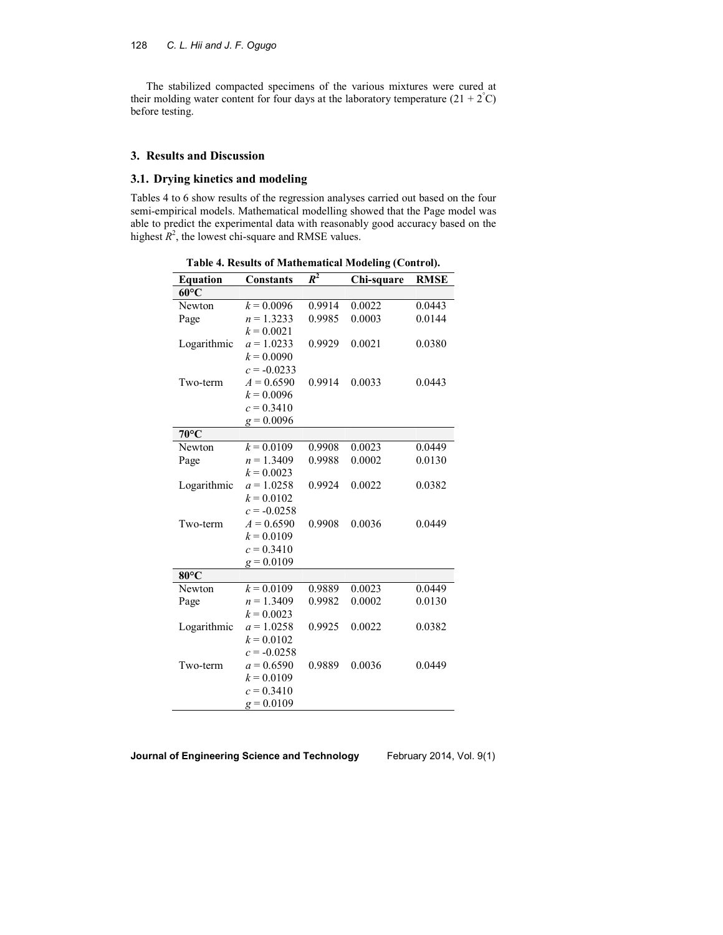The stabilized compacted specimens of the various mixtures were cured at their molding water content for four days at the laboratory temperature  $(21 + 2^{\circ}C)$ before testing.

# **3. Results and Discussion**

# **3.1. Drying kinetics and modeling**

Tables 4 to 6 show results of the regression analyses carried out based on the four semi-empirical models. Mathematical modelling showed that the Page model was able to predict the experimental data with reasonably good accuracy based on the highest  $R^2$ , the lowest chi-square and RMSE values.

| www.mg (Control).<br>$R^2$ |                  |        |            |             |
|----------------------------|------------------|--------|------------|-------------|
| <b>Equation</b>            | <b>Constants</b> |        | Chi-square | <b>RMSE</b> |
| $60^{\circ}$ C             |                  |        |            |             |
| Newton                     | $k = 0.0096$     | 0.9914 | 0.0022     | 0.0443      |
| Page                       | $n = 1.3233$     | 0.9985 | 0.0003     | 0.0144      |
|                            | $k = 0.0021$     |        |            |             |
| Logarithmic                | $a = 1.0233$     | 0.9929 | 0.0021     | 0.0380      |
|                            | $k = 0.0090$     |        |            |             |
|                            | $c = -0.0233$    |        |            |             |
| Two-term                   | $A = 0.6590$     | 0.9914 | 0.0033     | 0.0443      |
|                            | $k = 0.0096$     |        |            |             |
|                            | $c = 0.3410$     |        |            |             |
|                            | $g = 0.0096$     |        |            |             |
| $70^{\circ}$ C             |                  |        |            |             |
| Newton                     | $k = 0.0109$     | 0.9908 | 0.0023     | 0.0449      |
| Page                       | $n = 1.3409$     | 0.9988 | 0.0002     | 0.0130      |
|                            | $k = 0.0023$     |        |            |             |
| Logarithmic                | $a = 1.0258$     | 0.9924 | 0.0022     | 0.0382      |
|                            | $k = 0.0102$     |        |            |             |
|                            | $c = -0.0258$    |        |            |             |
| Two-term                   | $A = 0.6590$     | 0.9908 | 0.0036     | 0.0449      |
|                            | $k = 0.0109$     |        |            |             |
|                            | $c = 0.3410$     |        |            |             |
|                            | $g = 0.0109$     |        |            |             |
| $80^{\circ}$ C             |                  |        |            |             |
| Newton                     | $k = 0.0109$     | 0.9889 | 0.0023     | 0.0449      |
| Page                       | $n = 1.3409$     | 0.9982 | 0.0002     | 0.0130      |
|                            | $k = 0.0023$     |        |            |             |
| Logarithmic                | $a = 1.0258$     | 0.9925 | 0.0022     | 0.0382      |
|                            | $k = 0.0102$     |        |            |             |
|                            | $c = -0.0258$    |        |            |             |
| Two-term                   | $a = 0.6590$     | 0.9889 | 0.0036     | 0.0449      |
|                            | $k = 0.0109$     |        |            |             |
|                            | $c = 0.3410$     |        |            |             |
|                            | $g = 0.0109$     |        |            |             |

**Table 4. Results of Mathematical Modeling (Control).**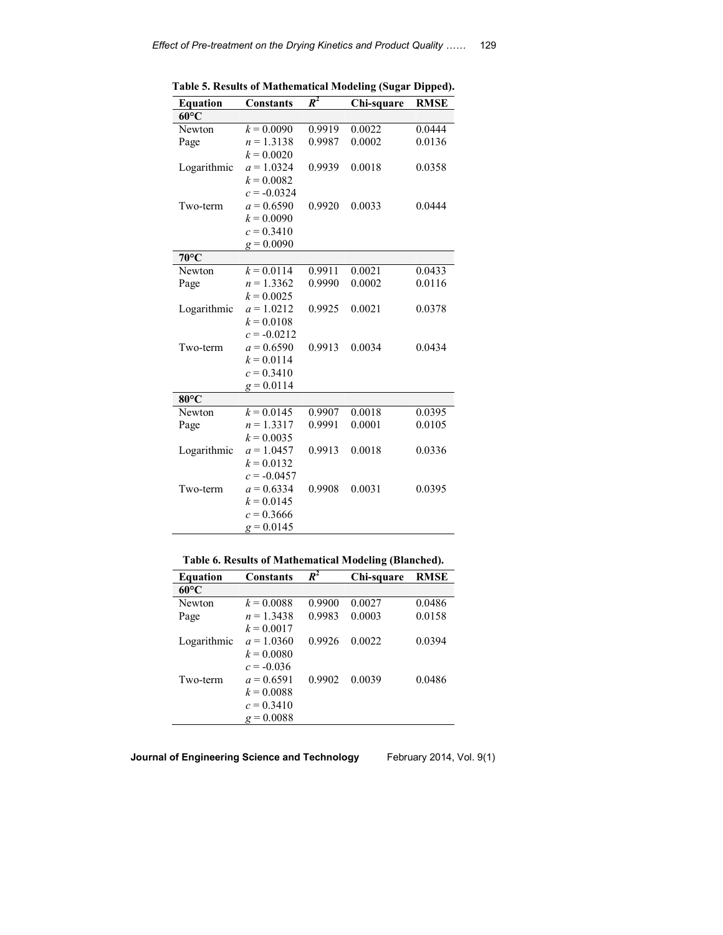| <b>Equation</b> | <b>Constants</b> | $R^2$  | Chi-square | <b>RMSE</b> |
|-----------------|------------------|--------|------------|-------------|
| $60^{\circ}$ C  |                  |        |            |             |
| Newton          | $k = 0.0090$     | 0.9919 | 0.0022     | 0.0444      |
| Page            | $n = 1.3138$     | 0.9987 | 0.0002     | 0.0136      |
|                 | $k = 0.0020$     |        |            |             |
| Logarithmic     | $a = 1.0324$     | 0.9939 | 0.0018     | 0.0358      |
|                 | $k = 0.0082$     |        |            |             |
|                 | $c = -0.0324$    |        |            |             |
| Two-term        | $a = 0.6590$     | 0.9920 | 0.0033     | 0.0444      |
|                 | $k = 0.0090$     |        |            |             |
|                 | $c = 0.3410$     |        |            |             |
|                 | $g = 0.0090$     |        |            |             |
| $70^{\circ}$ C  |                  |        |            |             |
| Newton          | $k = 0.0114$     | 0.9911 | 0.0021     | 0.0433      |
| Page            | $n = 1.3362$     | 0.9990 | 0.0002     | 0.0116      |
|                 | $k = 0.0025$     |        |            |             |
| Logarithmic     | $a = 1.0212$     | 0.9925 | 0.0021     | 0.0378      |
|                 | $k = 0.0108$     |        |            |             |
|                 | $c = -0.0212$    |        |            |             |
| Two-term        | $a = 0.6590$     | 0.9913 | 0.0034     | 0.0434      |
|                 | $k = 0.0114$     |        |            |             |
|                 | $c = 0.3410$     |        |            |             |
|                 | $g = 0.0114$     |        |            |             |
| $80^{\circ}$ C  |                  |        |            |             |
| Newton          | $k = 0.0145$     | 0.9907 | 0.0018     | 0.0395      |
| Page            | $n = 1.3317$     | 0.9991 | 0.0001     | 0.0105      |
|                 | $k = 0.0035$     |        |            |             |
| Logarithmic     | $a = 1.0457$     | 0.9913 | 0.0018     | 0.0336      |
|                 | $k = 0.0132$     |        |            |             |
|                 | $c = -0.0457$    |        |            |             |
| Two-term        | $a = 0.6334$     | 0.9908 | 0.0031     | 0.0395      |
|                 | $k = 0.0145$     |        |            |             |
|                 | $c = 0.3666$     |        |            |             |
|                 | $g = 0.0145$     |        |            |             |

**Table 5. Results of Mathematical Modeling (Sugar Dipped).** 

|  |  | Table 6. Results of Mathematical Modeling (Blanched). |  |
|--|--|-------------------------------------------------------|--|
|--|--|-------------------------------------------------------|--|

| <b>Equation</b> | <b>Constants</b> | $\mathbb{R}^2$ | Chi-square | <b>RMSE</b> |
|-----------------|------------------|----------------|------------|-------------|
| $60^{\circ}$ C  |                  |                |            |             |
| Newton          | $k = 0.0088$     | 0.9900         | 0.0027     | 0.0486      |
| Page            | $n = 1.3438$     | 0.9983         | 0.0003     | 0.0158      |
|                 | $k = 0.0017$     |                |            |             |
| Logarithmic     | $a = 1.0360$     | 0.9926         | 0.0022     | 0.0394      |
|                 | $k = 0.0080$     |                |            |             |
|                 | $c = -0.036$     |                |            |             |
| Two-term        | $a = 0.6591$     | 0.9902         | 0.0039     | 0.0486      |
|                 | $k = 0.0088$     |                |            |             |
|                 | $c = 0.3410$     |                |            |             |
|                 | $g = 0.0088$     |                |            |             |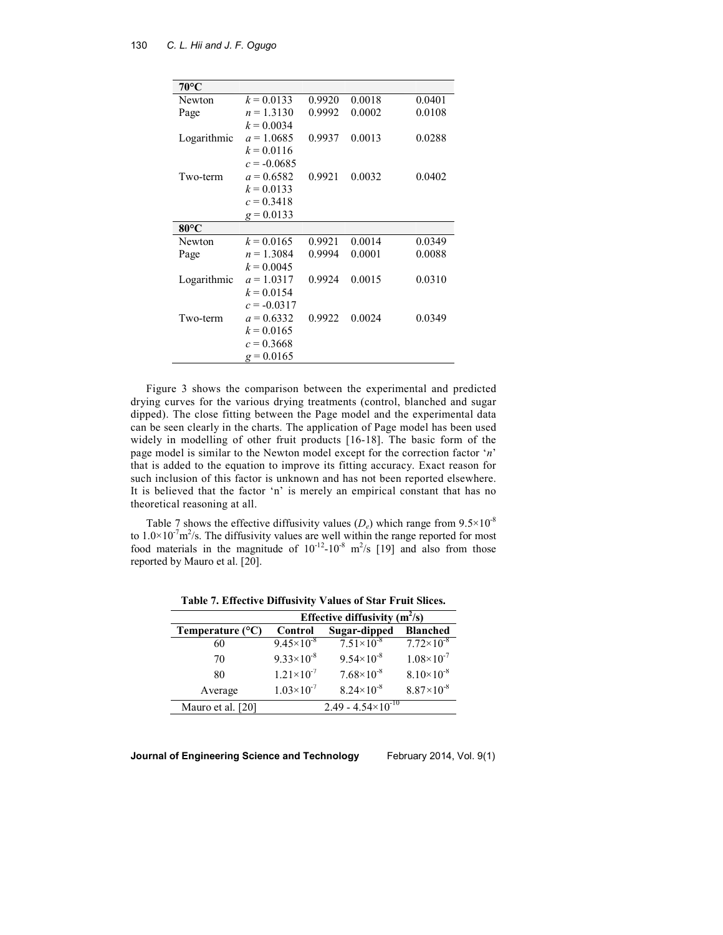| $70^{\circ}$ C |               |        |        |        |
|----------------|---------------|--------|--------|--------|
| Newton         | $k = 0.0133$  | 0.9920 | 0.0018 | 0.0401 |
| Page           | $n = 1.3130$  | 0.9992 | 0.0002 | 0.0108 |
|                | $k = 0.0034$  |        |        |        |
| Logarithmic    | $a = 1.0685$  | 0.9937 | 0.0013 | 0.0288 |
|                | $k = 0.0116$  |        |        |        |
|                | $c = -0.0685$ |        |        |        |
| Two-term       | $a = 0.6582$  | 0.9921 | 0.0032 | 0.0402 |
|                | $k = 0.0133$  |        |        |        |
|                | $c = 0.3418$  |        |        |        |
|                | $g = 0.0133$  |        |        |        |
| $80^{\circ}$ C |               |        |        |        |
| Newton         | $k = 0.0165$  | 0.9921 | 0.0014 | 0.0349 |
| Page           | $n = 1.3084$  | 0.9994 | 0.0001 | 0.0088 |
|                | $k = 0.0045$  |        |        |        |
| Logarithmic    | $a = 1.0317$  | 0.9924 | 0.0015 | 0.0310 |
|                | $k = 0.0154$  |        |        |        |
|                | $c = -0.0317$ |        |        |        |
| Two-term       | $a = 0.6332$  | 0.9922 | 0.0024 | 0.0349 |
|                | $k = 0.0165$  |        |        |        |
|                | $c = 0.3668$  |        |        |        |
|                | $g = 0.0165$  |        |        |        |

Figure 3 shows the comparison between the experimental and predicted drying curves for the various drying treatments (control, blanched and sugar dipped). The close fitting between the Page model and the experimental data can be seen clearly in the charts. The application of Page model has been used widely in modelling of other fruit products [16-18]. The basic form of the page model is similar to the Newton model except for the correction factor '*n*' that is added to the equation to improve its fitting accuracy. Exact reason for such inclusion of this factor is unknown and has not been reported elsewhere. It is believed that the factor 'n' is merely an empirical constant that has no theoretical reasoning at all.

Table 7 shows the effective diffusivity values  $(D_e)$  which range from  $9.5 \times 10^{-8}$ to  $1.0 \times 10^{-7}$  m<sup>2</sup>/s. The diffusivity values are well within the range reported for most food materials in the magnitude of  $10^{-12}$ - $10^{-8}$  m<sup>2</sup>/s [19] and also from those reported by Mauro et al. [20].

|                           | Effective diffusivity $(m^2/s)$ |                       |                       |  |
|---------------------------|---------------------------------|-----------------------|-----------------------|--|
| Temperature $(^{\circ}C)$ | Control                         | Sugar-dipped          | <b>Blanched</b>       |  |
| 60                        | $9.45 \times 10^{-8}$           | $7.51 \times 10^{-8}$ | $7.72\times10^{-8}$   |  |
| 70                        | $9.33\times10^{-8}$             | $9.54\times10^{-8}$   | $1.08 \times 10^{-7}$ |  |
| 80                        | $1.21 \times 10^{-7}$           | $7.68\times10^{-8}$   | $8.10\times10^{-8}$   |  |
| Average                   | $1.03\times10^{-7}$             | $8.24 \times 10^{-8}$ | $8.87\times10^{-8}$   |  |
| Mauro et al. [20]         | $2.49 - 4.54 \times 10^{-10}$   |                       |                       |  |

**Table 7. Effective Diffusivity Values of Star Fruit Slices.** 

**Journal of Engineering Science and Technology**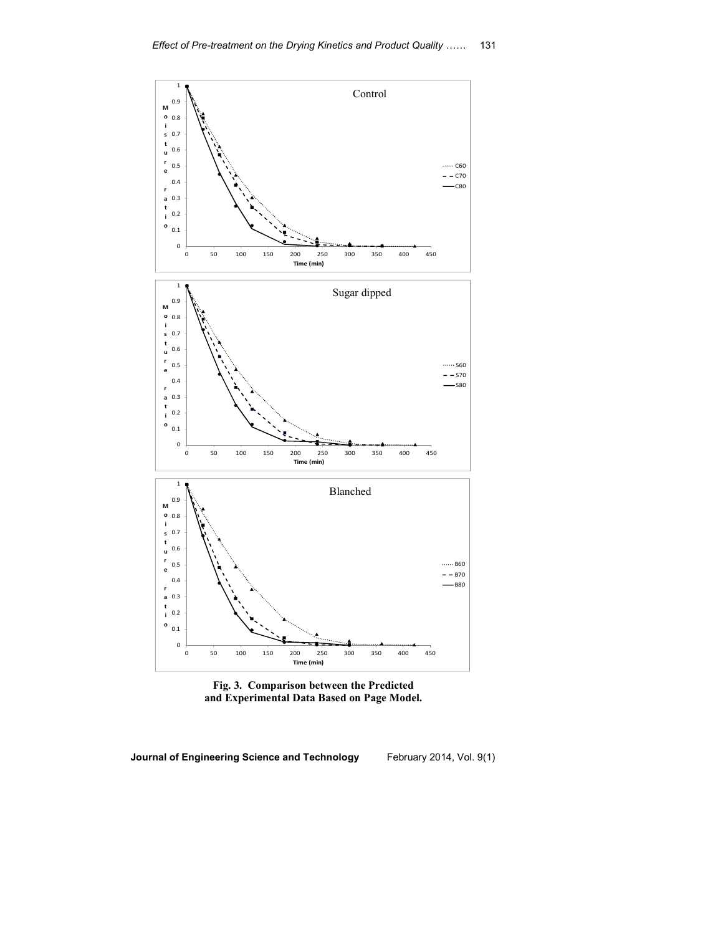

**Fig. 3. Comparison between the Predicted and Experimental Data Based on Page Model.**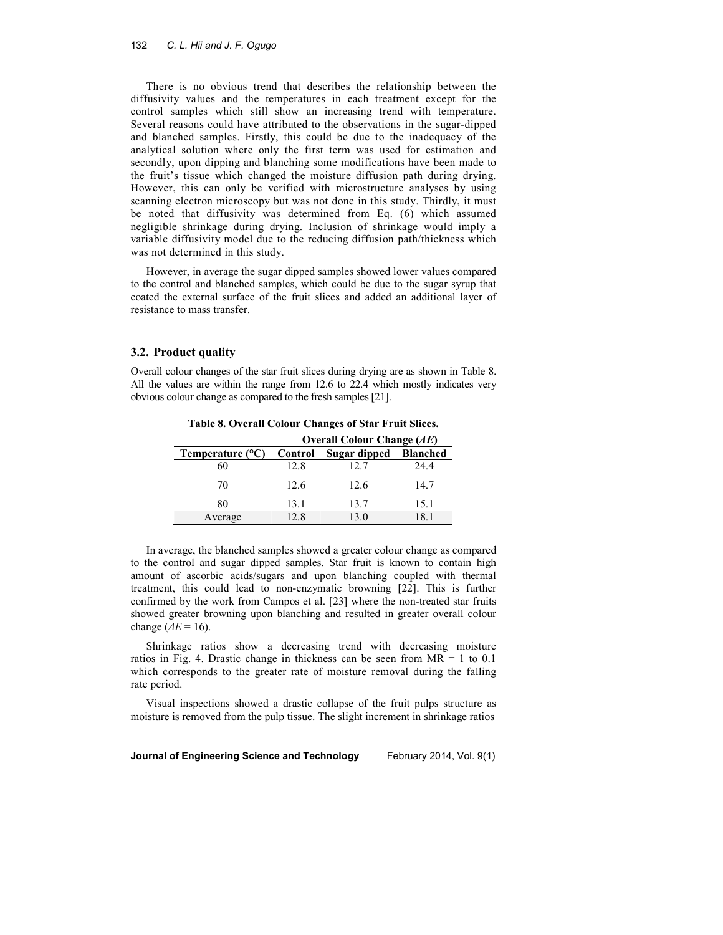There is no obvious trend that describes the relationship between the diffusivity values and the temperatures in each treatment except for the control samples which still show an increasing trend with temperature. Several reasons could have attributed to the observations in the sugar-dipped and blanched samples. Firstly, this could be due to the inadequacy of the analytical solution where only the first term was used for estimation and secondly, upon dipping and blanching some modifications have been made to the fruit's tissue which changed the moisture diffusion path during drying. However, this can only be verified with microstructure analyses by using scanning electron microscopy but was not done in this study. Thirdly, it must be noted that diffusivity was determined from Eq. (6) which assumed negligible shrinkage during drying. Inclusion of shrinkage would imply a variable diffusivity model due to the reducing diffusion path/thickness which was not determined in this study.

However, in average the sugar dipped samples showed lower values compared to the control and blanched samples, which could be due to the sugar syrup that coated the external surface of the fruit slices and added an additional layer of resistance to mass transfer.

### **3.2. Product quality**

Overall colour changes of the star fruit slices during drying are as shown in Table 8. All the values are within the range from 12.6 to 22.4 which mostly indicates very obvious colour change as compared to the fresh samples [21].

| TWORE OF OTHER COLUMN CHANGES OF SAME TE WILDER STREET |                                    |              |                 |  |
|--------------------------------------------------------|------------------------------------|--------------|-----------------|--|
|                                                        | Overall Colour Change $(\Delta E)$ |              |                 |  |
| Temperature $(^{\circ}C)$                              | Control                            | Sugar dipped | <b>Blanched</b> |  |
| 60                                                     | 12.8                               | 12.7         | 24.4            |  |
| 70                                                     | 12.6                               | 12.6         | 14.7            |  |
| 80                                                     | 13.1                               | 13.7         | 15.1            |  |
| Average                                                | 12.8                               | 130          |                 |  |

**Table 8. Overall Colour Changes of Star Fruit Slices.** 

In average, the blanched samples showed a greater colour change as compared to the control and sugar dipped samples. Star fruit is known to contain high amount of ascorbic acids/sugars and upon blanching coupled with thermal treatment, this could lead to non-enzymatic browning [22]. This is further confirmed by the work from Campos et al. [23] where the non-treated star fruits showed greater browning upon blanching and resulted in greater overall colour change ( $\Delta E = 16$ ).

Shrinkage ratios show a decreasing trend with decreasing moisture ratios in Fig. 4. Drastic change in thickness can be seen from  $MR = 1$  to 0.1 which corresponds to the greater rate of moisture removal during the falling rate period.

Visual inspections showed a drastic collapse of the fruit pulps structure as moisture is removed from the pulp tissue. The slight increment in shrinkage ratios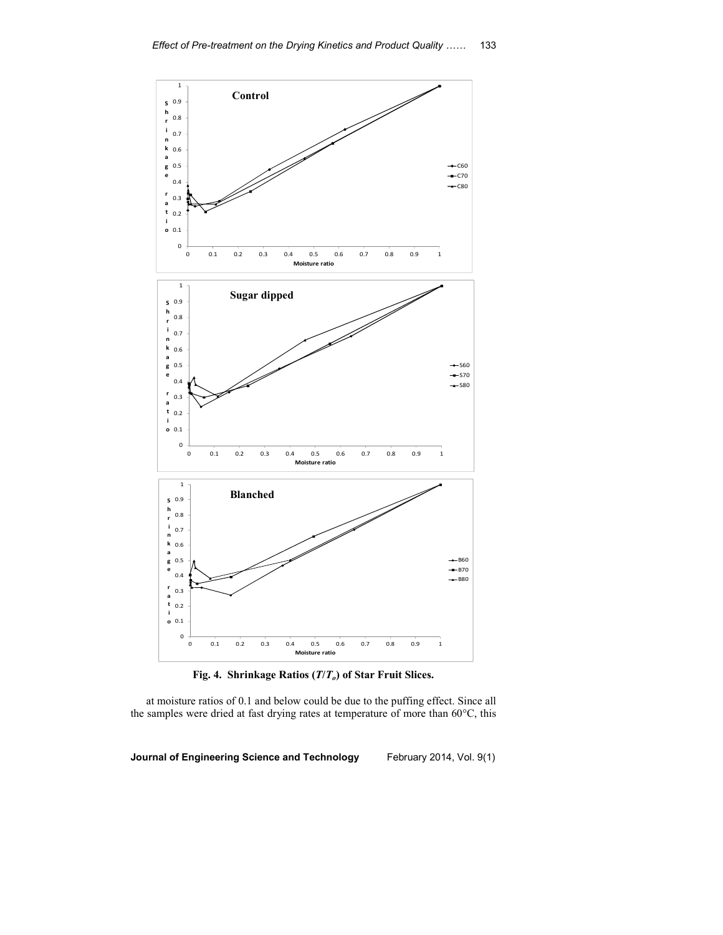



at moisture ratios of 0.1 and below could be due to the puffing effect. Since all the samples were dried at fast drying rates at temperature of more than 60°C, this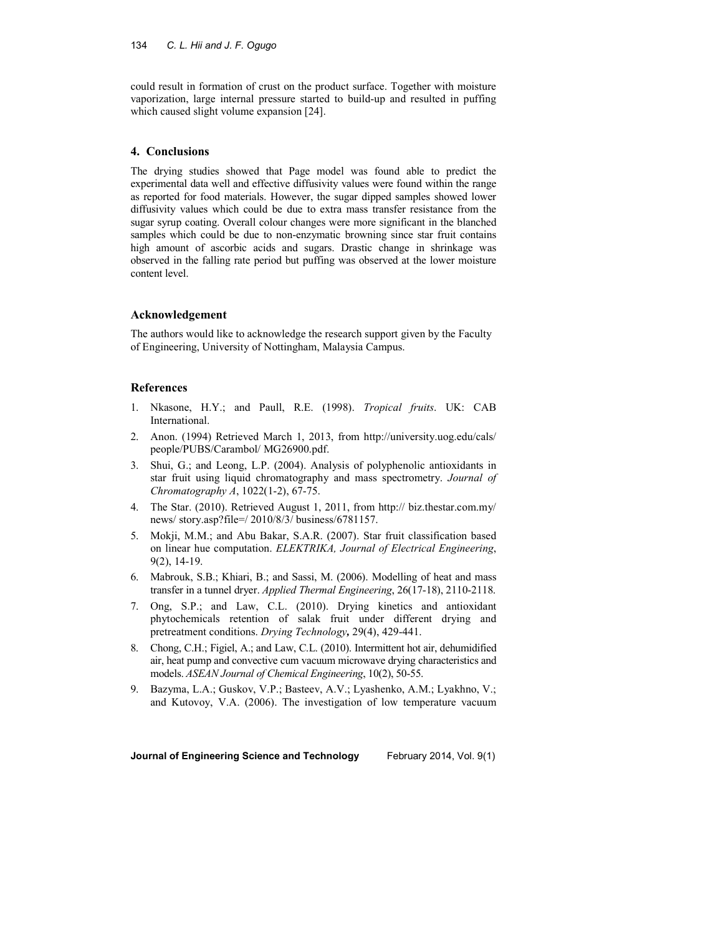could result in formation of crust on the product surface. Together with moisture vaporization, large internal pressure started to build-up and resulted in puffing which caused slight volume expansion [24].

## **4. Conclusions**

The drying studies showed that Page model was found able to predict the experimental data well and effective diffusivity values were found within the range as reported for food materials. However, the sugar dipped samples showed lower diffusivity values which could be due to extra mass transfer resistance from the sugar syrup coating. Overall colour changes were more significant in the blanched samples which could be due to non-enzymatic browning since star fruit contains high amount of ascorbic acids and sugars. Drastic change in shrinkage was observed in the falling rate period but puffing was observed at the lower moisture content level.

## **Acknowledgement**

The authors would like to acknowledge the research support given by the Faculty of Engineering, University of Nottingham, Malaysia Campus.

## **References**

- 1. Nkasone, H.Y.; and Paull, R.E. (1998). *Tropical fruits*. UK: CAB International.
- 2. Anon. (1994) Retrieved March 1, 2013, from http://university.uog.edu/cals/ people/PUBS/Carambol/ MG26900.pdf.
- 3. Shui, G.; and Leong, L.P. (2004). Analysis of polyphenolic antioxidants in star fruit using liquid chromatography and mass spectrometry. *Journal of Chromatography A*, 1022(1-2), 67-75.
- 4. The Star. (2010). Retrieved August 1, 2011, from http:// biz.thestar.com.my/ news/ story.asp?file=/ 2010/8/3/ business/6781157.
- 5. Mokji, M.M.; and Abu Bakar, S.A.R. (2007). Star fruit classification based on linear hue computation. *ELEKTRIKA, Journal of Electrical Engineering*, 9(2), 14-19.
- 6. Mabrouk, S.B.; Khiari, B.; and Sassi, M. (2006). Modelling of heat and mass transfer in a tunnel dryer. *Applied Thermal Engineering*, 26(17-18), 2110-2118.
- 7. Ong, S.P.; and Law, C.L. (2010). Drying kinetics and antioxidant phytochemicals retention of salak fruit under different drying and pretreatment conditions. *Drying Technology,* 29(4), 429-441.
- 8. Chong, C.H.; Figiel, A.; and Law, C.L. (2010). Intermittent hot air, dehumidified air, heat pump and convective cum vacuum microwave drying characteristics and models. *ASEAN Journal of Chemical Engineering*, 10(2), 50-55.
- 9. Bazyma, L.A.; Guskov, V.P.; Basteev, A.V.; Lyashenko, A.M.; Lyakhno, V.; and Kutovoy, V.A. (2006). The investigation of low temperature vacuum